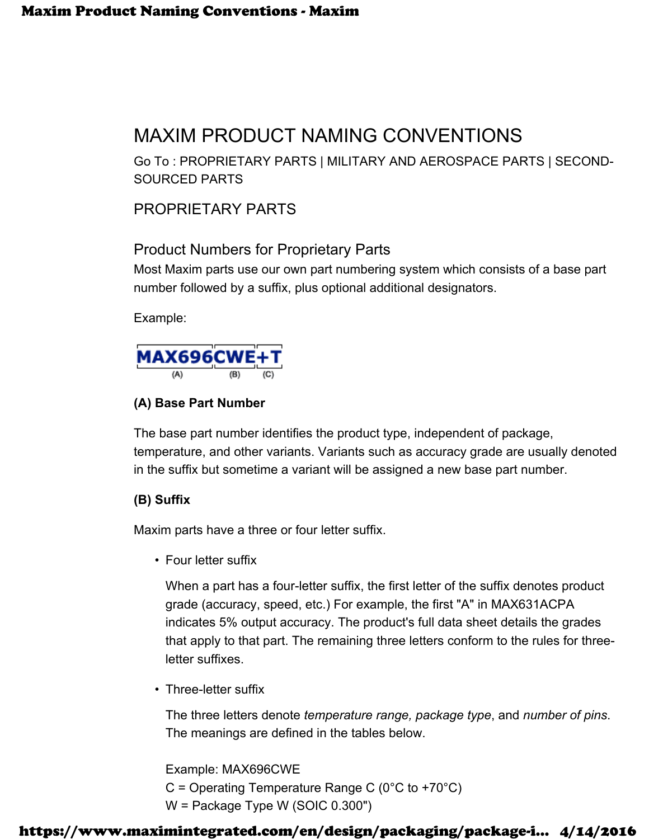# MAXIM PRODUCT NAMING CONVENTIONS

Go To : PROPRIETARY PARTS | MILITARY AND AEROSPACE PARTS | SECOND-SOURCED PARTS

# PROPRIETARY PARTS

# Product Numbers for Proprietary Parts

Most Maxim parts use our own part numbering system which consists of a base part number followed by a suffix, plus optional additional designators.

Example:



## **(A) Base Part Number**

The base part number identifies the product type, independent of package, temperature, and other variants. Variants such as accuracy grade are usually denoted in the suffix but sometime a variant will be assigned a new base part number.

## **(B) Suffix**

Maxim parts have a three or four letter suffix.

• Four letter suffix

When a part has a four-letter suffix, the first letter of the suffix denotes product grade (accuracy, speed, etc.) For example, the first "A" in MAX631ACPA indicates 5% output accuracy. The product's full data sheet details the grades that apply to that part. The remaining three letters conform to the rules for threeletter suffixes.

• Three-letter suffix

The three letters denote *temperature range, package type*, and *number of pins*. The meanings are defined in the tables below.

Example: MAX696CWE

 $C =$  Operating Temperature Range C (0°C to +70°C)

W = Package Type W (SOIC 0.300")

## https://www.maximintegrated.com/en/design/packaging/package-i... 4/14/2016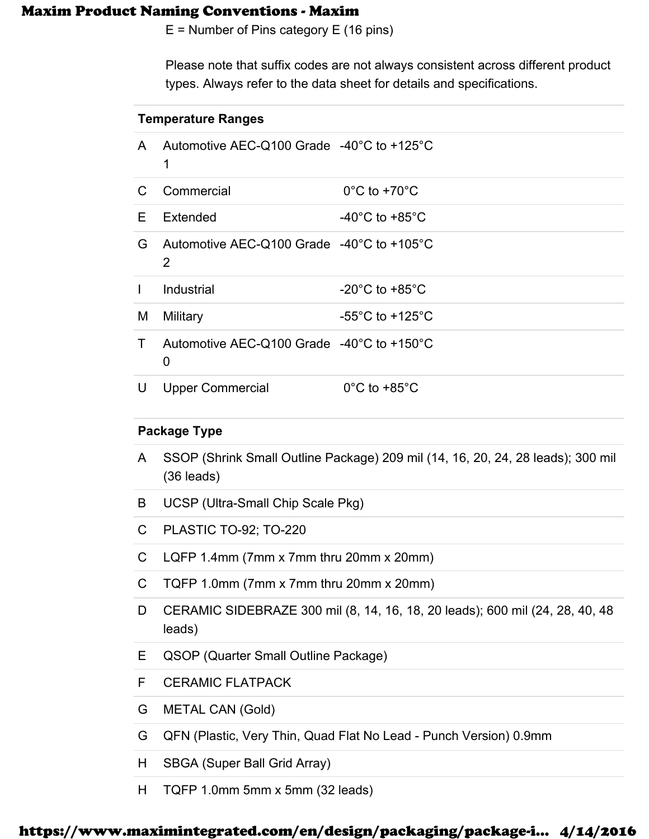E = Number of Pins category E (16 pins)

Please note that suffix codes are not always consistent across different product types. Always refer to the data sheet for details and specifications.

| <b>Temperature Ranges</b> |                                                                    |                                      |
|---------------------------|--------------------------------------------------------------------|--------------------------------------|
| A                         | Automotive AEC-Q100 Grade -40°C to +125°C<br>1                     |                                      |
| C                         | Commercial                                                         | $0^{\circ}$ C to +70 $^{\circ}$ C    |
| E.                        | Extended                                                           | -40 $^{\circ}$ C to +85 $^{\circ}$ C |
| G                         | Automotive AEC-Q100 Grade $-40^{\circ}$ C to $+105^{\circ}$ C<br>2 |                                      |
| $\mathbf{I}$              | Industrial                                                         | $-20^{\circ}$ C to $+85^{\circ}$ C   |
| M                         | Military                                                           | $-55^{\circ}$ C to $+125^{\circ}$ C  |
| T.                        | Automotive AEC-Q100 Grade $-40^{\circ}$ C to $+150^{\circ}$ C<br>0 |                                      |
| U                         | <b>Upper Commercial</b>                                            | $0^{\circ}$ C to +85 $^{\circ}$ C    |

## **Package Type**

- A SSOP (Shrink Small Outline Package) 209 mil (14, 16, 20, 24, 28 leads); 300 mil (36 leads)
- B UCSP (Ultra-Small Chip Scale Pkg)
- C PLASTIC TO-92; TO-220
- C LQFP 1.4mm (7mm x 7mm thru 20mm x 20mm)
- C TQFP 1.0mm (7mm x 7mm thru 20mm x 20mm)
- D CERAMIC SIDEBRAZE 300 mil (8, 14, 16, 18, 20 leads); 600 mil (24, 28, 40, 48 leads)
- E QSOP (Quarter Small Outline Package)
- F CERAMIC FLATPACK
- G METAL CAN (Gold)
- G QFN (Plastic, Very Thin, Quad Flat No Lead Punch Version) 0.9mm
- H SBGA (Super Ball Grid Array)
- H TQFP 1.0mm 5mm x 5mm (32 leads)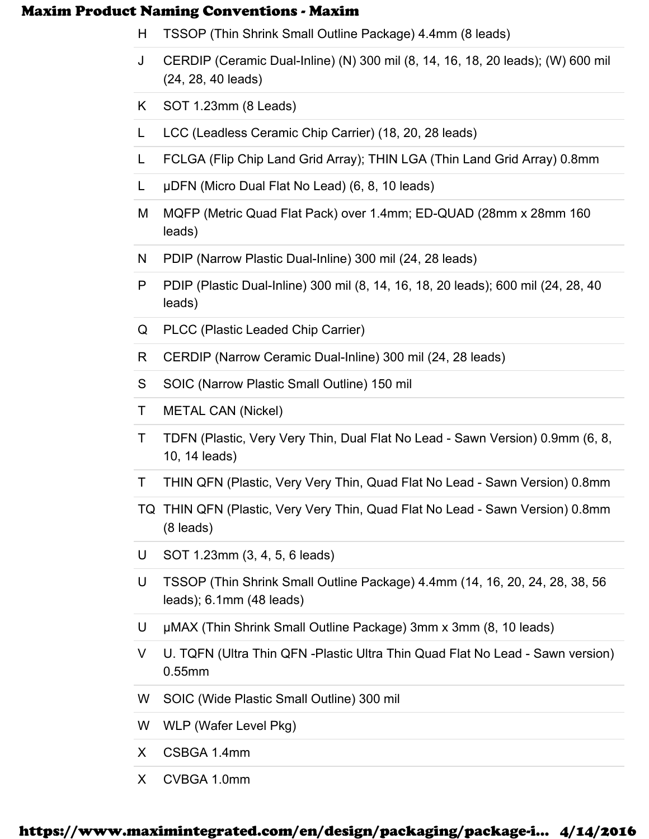- H TSSOP (Thin Shrink Small Outline Package) 4.4mm (8 leads)
- J CERDIP (Ceramic Dual-Inline) (N) 300 mil (8, 14, 16, 18, 20 leads); (W) 600 mil (24, 28, 40 leads)
- K SOT 1.23mm (8 Leads)
- L LCC (Leadless Ceramic Chip Carrier) (18, 20, 28 leads)
- L FCLGA (Flip Chip Land Grid Array); THIN LGA (Thin Land Grid Array) 0.8mm
- L µDFN (Micro Dual Flat No Lead) (6, 8, 10 leads)
- M MQFP (Metric Quad Flat Pack) over 1.4mm; ED-QUAD (28mm x 28mm 160 leads)
- N PDIP (Narrow Plastic Dual-Inline) 300 mil (24, 28 leads)
- P PDIP (Plastic Dual-Inline) 300 mil (8, 14, 16, 18, 20 leads); 600 mil (24, 28, 40 leads)
- Q PLCC (Plastic Leaded Chip Carrier)
- R CERDIP (Narrow Ceramic Dual-Inline) 300 mil (24, 28 leads)
- S SOIC (Narrow Plastic Small Outline) 150 mil
- T METAL CAN (Nickel)
- T TDFN (Plastic, Very Very Thin, Dual Flat No Lead Sawn Version) 0.9mm (6, 8, 10, 14 leads)
- T THIN QFN (Plastic, Very Very Thin, Quad Flat No Lead Sawn Version) 0.8mm
- TQ THIN QFN (Plastic, Very Very Thin, Quad Flat No Lead Sawn Version) 0.8mm (8 leads)
- U SOT 1.23mm (3, 4, 5, 6 leads)
- U TSSOP (Thin Shrink Small Outline Package) 4.4mm (14, 16, 20, 24, 28, 38, 56 leads); 6.1mm (48 leads)
- U µMAX (Thin Shrink Small Outline Package) 3mm x 3mm (8, 10 leads)
- V U. TQFN (Ultra Thin QFN -Plastic Ultra Thin Quad Flat No Lead Sawn version) 0.55mm
- W SOIC (Wide Plastic Small Outline) 300 mil
- W WLP (Wafer Level Pkg)
- X CSBGA 1.4mm
- X CVBGA 1.0mm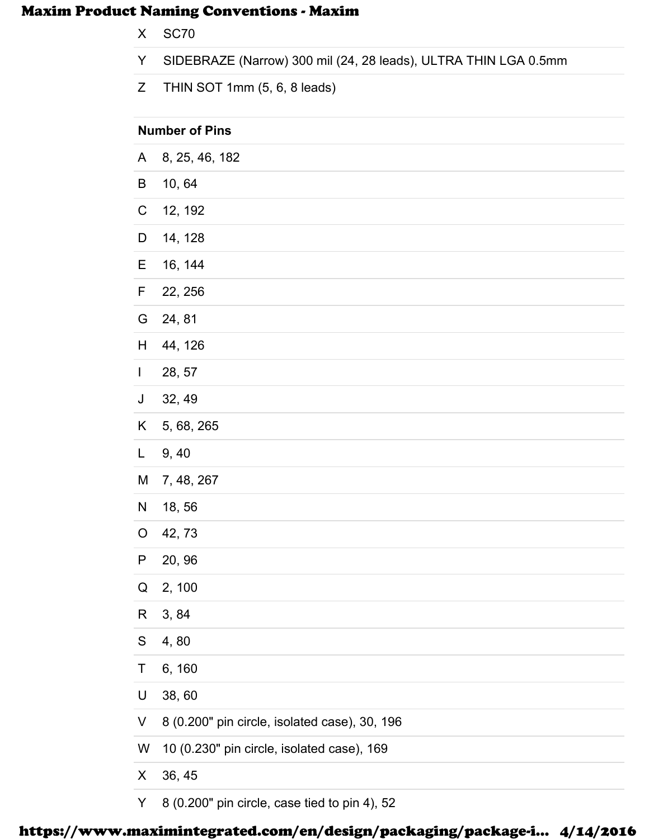- X SC70
- Y SIDEBRAZE (Narrow) 300 mil (24, 28 leads), ULTRA THIN LGA 0.5mm
- Z THIN SOT 1mm (5, 6, 8 leads)

| <b>Number of Pins</b> |                                               |  |
|-----------------------|-----------------------------------------------|--|
| A                     | 8, 25, 46, 182                                |  |
| B                     | 10,64                                         |  |
| $\mathsf C$           | 12, 192                                       |  |
| D                     | 14, 128                                       |  |
| Е                     | 16, 144                                       |  |
| F                     | 22, 256                                       |  |
| G                     | 24, 81                                        |  |
| H                     | 44, 126                                       |  |
| $\mathbf{I}$          | 28, 57                                        |  |
| J                     | 32, 49                                        |  |
| K                     | 5, 68, 265                                    |  |
| L                     | 9, 40                                         |  |
| M                     | 7, 48, 267                                    |  |
| N                     | 18,56                                         |  |
| $\circ$               | 42, 73                                        |  |
| P                     | 20, 96                                        |  |
| Q                     | 2, 100                                        |  |
| R                     | 3, 84                                         |  |
| ${\mathsf S}$         | 4,80                                          |  |
| T                     | 6, 160                                        |  |
| $\mathsf U$           | 38,60                                         |  |
| V                     | 8 (0.200" pin circle, isolated case), 30, 196 |  |
| W                     | 10 (0.230" pin circle, isolated case), 169    |  |
| X                     | 36, 45                                        |  |
| Y                     | 8 (0.200" pin circle, case tied to pin 4), 52 |  |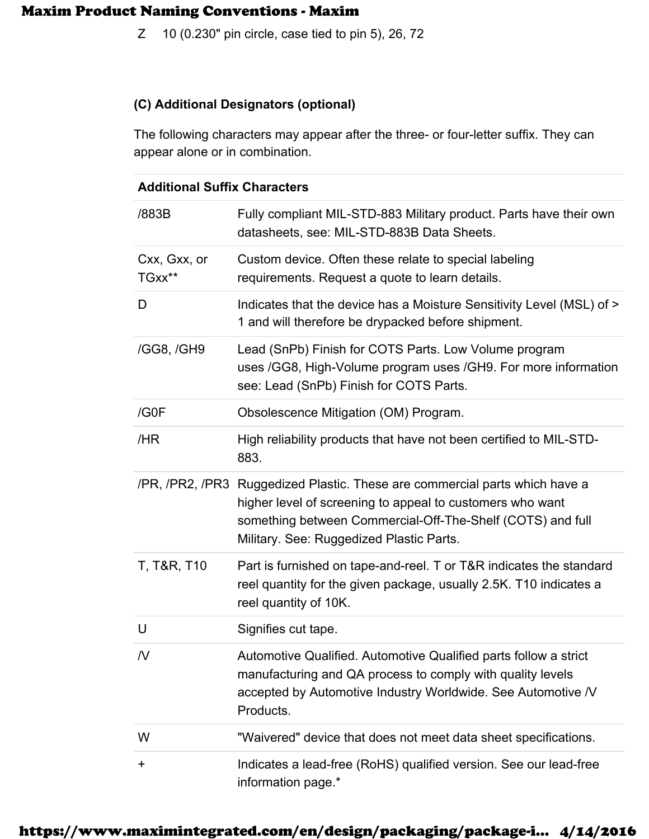Z 10 (0.230" pin circle, case tied to pin 5), 26, 72

#### **(C) Additional Designators (optional)**

The following characters may appear after the three- or four-letter suffix. They can appear alone or in combination.

#### **Additional Suffix Characters**

| /883B                  | Fully compliant MIL-STD-883 Military product. Parts have their own<br>datasheets, see: MIL-STD-883B Data Sheets.                                                                                                                                   |
|------------------------|----------------------------------------------------------------------------------------------------------------------------------------------------------------------------------------------------------------------------------------------------|
| Cxx, Gxx, or<br>TGxx** | Custom device. Often these relate to special labeling<br>requirements. Request a quote to learn details.                                                                                                                                           |
| D                      | Indicates that the device has a Moisture Sensitivity Level (MSL) of ><br>1 and will therefore be drypacked before shipment.                                                                                                                        |
| /GG8, /GH9             | Lead (SnPb) Finish for COTS Parts. Low Volume program<br>uses /GG8, High-Volume program uses /GH9. For more information<br>see: Lead (SnPb) Finish for COTS Parts.                                                                                 |
| /G0F                   | Obsolescence Mitigation (OM) Program.                                                                                                                                                                                                              |
| /HR                    | High reliability products that have not been certified to MIL-STD-<br>883.                                                                                                                                                                         |
|                        | /PR, /PR2, /PR3 Ruggedized Plastic. These are commercial parts which have a<br>higher level of screening to appeal to customers who want<br>something between Commercial-Off-The-Shelf (COTS) and full<br>Military. See: Ruggedized Plastic Parts. |
| T, T&R, T10            | Part is furnished on tape-and-reel. T or T&R indicates the standard<br>reel quantity for the given package, usually 2.5K. T10 indicates a<br>reel quantity of 10K.                                                                                 |
| U                      | Signifies cut tape.                                                                                                                                                                                                                                |
| N                      | Automotive Qualified. Automotive Qualified parts follow a strict<br>manufacturing and QA process to comply with quality levels<br>accepted by Automotive Industry Worldwide. See Automotive /V<br>Products.                                        |
| W                      | "Waivered" device that does not meet data sheet specifications.                                                                                                                                                                                    |
| $\ddot{}$              | Indicates a lead-free (RoHS) qualified version. See our lead-free<br>information page.*                                                                                                                                                            |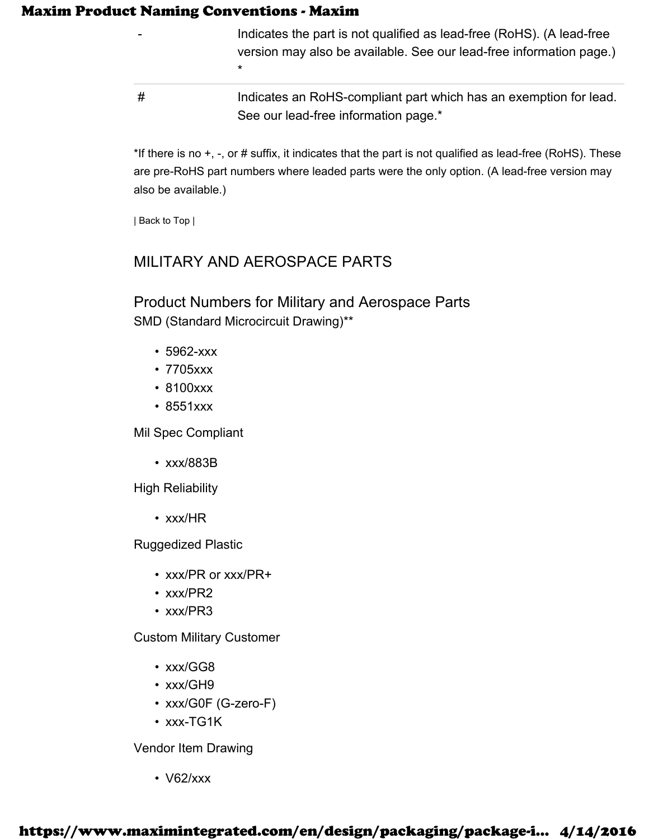\*

- Indicates the part is not qualified as lead-free (RoHS). (A lead-free version may also be available. See our lead-free information page.)
- # Indicates an RoHS-compliant part which has an exemption for lead. See our lead-free information page.\*

\*If there is no +, -, or # suffix, it indicates that the part is not qualified as lead-free (RoHS). These are pre-RoHS part numbers where leaded parts were the only option. (A lead-free version may also be available.)

| Back to Top |

# MILITARY AND AEROSPACE PARTS

Product Numbers for Military and Aerospace Parts SMD (Standard Microcircuit Drawing)\*\*

- 5962-xxx
- 7705xxx
- 8100xxx
- 8551xxx

Mil Spec Compliant

• xxx/883B

High Reliability

• xxx/HR

Ruggedized Plastic

- xxx/PR or xxx/PR+
- xxx/PR2
- xxx/PR3

Custom Military Customer

- xxx/GG8
- xxx/GH9
- xxx/G0F (G-zero-F)
- xxx-TG1K

Vendor Item Drawing

• V62/xxx